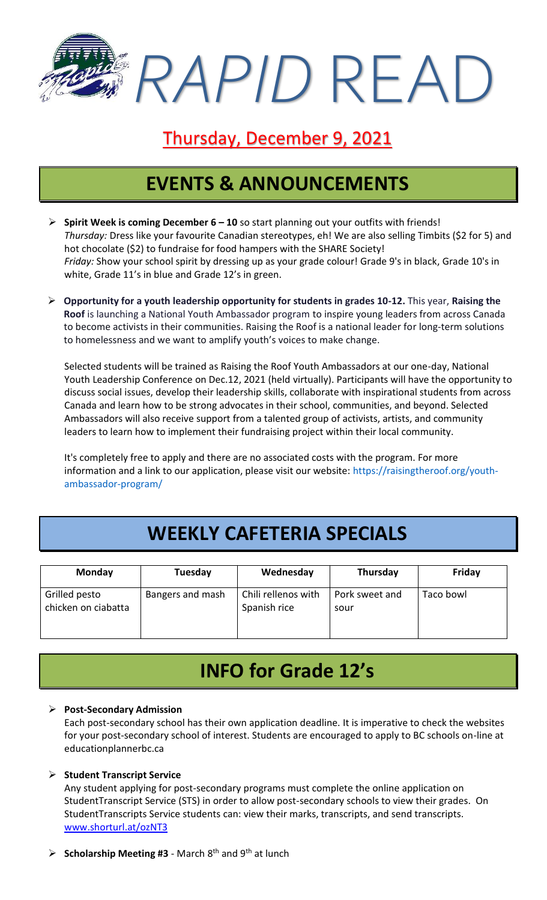*RAPID* READ

### Thursday, December 9, 2021

# **EVENTS & ANNOUNCEMENTS**

- ➢ **Spirit Week is coming December 6 – 10** so start planning out your outfits with friends! *Thursday:* Dress like your favourite Canadian stereotypes, eh! We are also selling Timbits (\$2 for 5) and hot chocolate (\$2) to fundraise for food hampers with the SHARE Society! *Friday:* Show your school spirit by dressing up as your grade colour! Grade 9's in black, Grade 10's in white, Grade 11's in blue and Grade 12's in green.
- ➢ **Opportunity for a youth leadership opportunity for students in grades 10-12.** This year, **Raising the Roof** is launching a National Youth Ambassador program to inspire young leaders from across Canada to become activists in their communities. Raising the Roof is a national leader for long-term solutions to homelessness and we want to amplify youth's voices to make change.

Selected students will be trained as Raising the Roof Youth Ambassadors at our one-day, National Youth Leadership Conference on Dec.12, 2021 (held virtually). Participants will have the opportunity to discuss social issues, develop their leadership skills, collaborate with inspirational students from across Canada and learn how to be strong advocates in their school, communities, and beyond. Selected Ambassadors will also receive support from a talented group of activists, artists, and community leaders to learn how to implement their fundraising project within their local community.

It's completely free to apply and there are no associated costs with the program. For more information and a link to our application, please visit our website: [https://raisingtheroof.org/youth](https://raisingtheroof.org/youth-ambassador-program/)[ambassador-program/](https://raisingtheroof.org/youth-ambassador-program/)

# **WEEKLY CAFETERIA SPECIALS**

| <b>Monday</b>                        | Tuesday          | Wednesday                           | Thursday               | Friday    |
|--------------------------------------|------------------|-------------------------------------|------------------------|-----------|
| Grilled pesto<br>chicken on ciabatta | Bangers and mash | Chili rellenos with<br>Spanish rice | Pork sweet and<br>sour | Taco bowl |

## **INFO for Grade 12's**

#### ➢ **Post-Secondary Admission**

Each post-secondary school has their own application deadline. It is imperative to check the websites for your post-secondary school of interest. Students are encouraged to apply to BC schools on-line at educationplannerbc.ca

#### ➢ **Student Transcript Service**

Any student applying for post-secondary programs must complete the online application on StudentTranscript Service (STS) in order to allow post-secondary schools to view their grades. On StudentTranscripts Service students can: view their marks, transcripts, and send transcripts. [www.shorturl.at/ozNT3](http://www.shorturl.at/ozNT3)

➢ **Scholarship Meeting #3** - March 8th and 9th at lunch